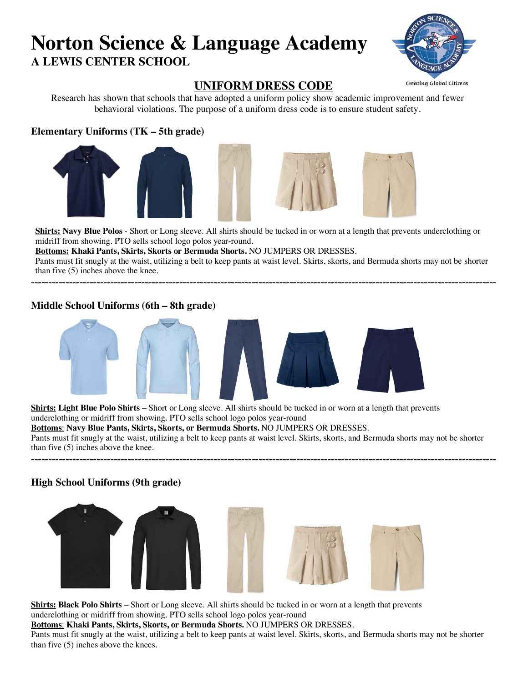# **Norton Science & Language Academy A LEWIS CENTER SCHOOL**



# **UNIFORM DRESS CODE**

Research has shown that schools that have adopted a uniform policy show academic improvement and fewer behavioral violations. The purpose of a uniform dress code is to ensure student safety.

# **Elementary Uniforms (TK – 5th grade)**





**Shirts: Navy Blue Polos** - Short or Long sleeve. All shirts should be tucked in or worn at a length that prevents underclothing or midriff from showing. PTO sells school logo polos year-round.

**Bottoms: Khaki Pants, Skirts, Skorts or Bermuda Shorts.** NO JUMPERS OR DRESSES.

Pants must fit snugly at the waist, utilizing a belt to keep pants at waist level. Skirts, skorts, and Bermuda shorts may not be shorter than five (5) inches above the knee. ---------------------------------------------------------------------------------------------------------------------------------------

# **Middle School Uniforms (6th – 8th grade)**



**Shirts: Light Blue Polo Shirts** – Short or Long sleeve. All shirts should be tucked in or worn at a length that prevents underclothing or midriff from showing. PTO sells school logo polos year-round **Bottoms**: **Navy Blue Pants, Skirts, Skorts, or Bermuda Shorts.** NO JUMPERS OR DRESSES. Pants must fit snugly at the waist, utilizing a belt to keep pants at waist level. Skirts, skorts, and Bermuda shorts may not be shorter

---------------------------------------------------------------------------------------------------------------------------------------

than five (5) inches above the knee.

# **High School Uniforms (9th grade)**



**Shirts: Black Polo Shirts** – Short or Long sleeve. All shirts should be tucked in or worn at a length that prevents underclothing or midriff from showing. PTO sells school logo polos year-round

**Bottoms**: **Khaki Pants, Skirts, Skorts, or Bermuda Shorts.** NO JUMPERS OR DRESSES.

Pants must fit snugly at the waist, utilizing a belt to keep pants at waist level. Skirts, skorts, and Bermuda shorts may not be shorter than five (5) inches above the knees.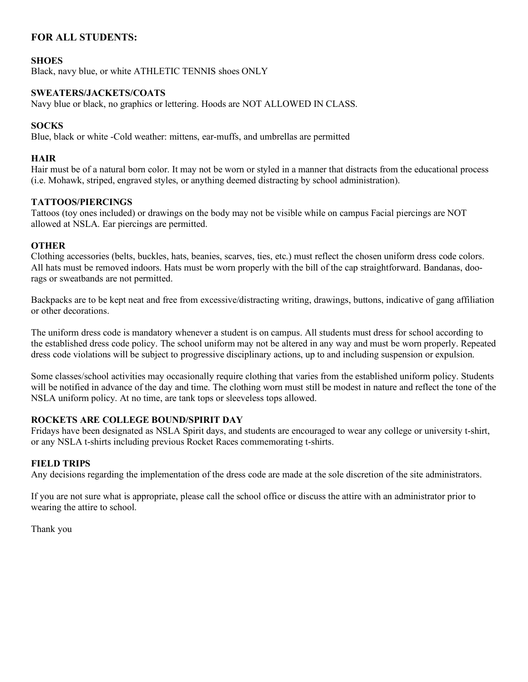# **FOR ALL STUDENTS:**

### **SHOES**

Black, navy blue, or white ATHLETIC TENNIS shoes ONLY

### **SWEATERS/JACKETS/COATS**

Navy blue or black, no graphics or lettering. Hoods are NOT ALLOWED IN CLASS.

### **SOCKS**

Blue, black or white -Cold weather: mittens, ear-muffs, and umbrellas are permitted

### **HAIR**

Hair must be of a natural born color. It may not be worn or styled in a manner that distracts from the educational process (i.e. Mohawk, striped, engraved styles, or anything deemed distracting by school administration).

#### **TATTOOS/PIERCINGS**

Tattoos (toy ones included) or drawings on the body may not be visible while on campus Facial piercings are NOT allowed at NSLA. Ear piercings are permitted.

### **OTHER**

Clothing accessories (belts, buckles, hats, beanies, scarves, ties, etc.) must reflect the chosen uniform dress code colors. All hats must be removed indoors. Hats must be worn properly with the bill of the cap straightforward. Bandanas, doorags or sweatbands are not permitted.

Backpacks are to be kept neat and free from excessive/distracting writing, drawings, buttons, indicative of gang affiliation or other decorations.

The uniform dress code is mandatory whenever a student is on campus. All students must dress for school according to the established dress code policy. The school uniform may not be altered in any way and must be worn properly. Repeated dress code violations will be subject to progressive disciplinary actions, up to and including suspension or expulsion.

Some classes/school activities may occasionally require clothing that varies from the established uniform policy. Students will be notified in advance of the day and time. The clothing worn must still be modest in nature and reflect the tone of the NSLA uniform policy. At no time, are tank tops or sleeveless tops allowed.

### **ROCKETS ARE COLLEGE BOUND/SPIRIT DAY**

Fridays have been designated as NSLA Spirit days, and students are encouraged to wear any college or university t-shirt, or any NSLA t-shirts including previous Rocket Races commemorating t-shirts.

### **FIELD TRIPS**

Any decisions regarding the implementation of the dress code are made at the sole discretion of the site administrators.

If you are not sure what is appropriate, please call the school office or discuss the attire with an administrator prior to wearing the attire to school.

Thank you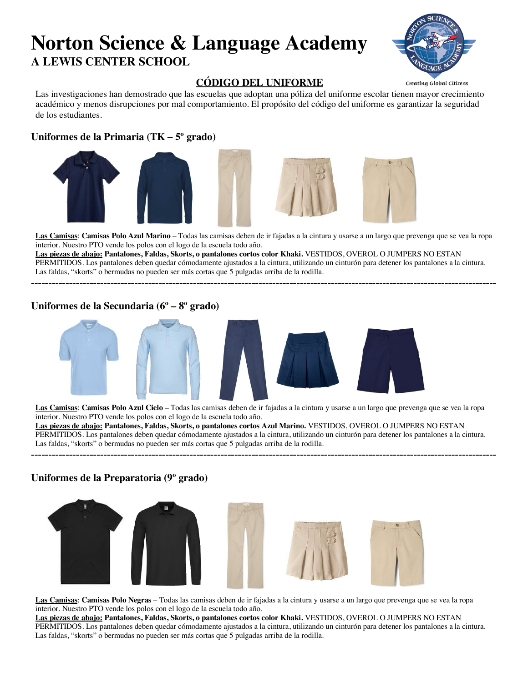# **Norton Science & Language Academy A LEWIS CENTER SCHOOL**



# **CÓDIGO DEL UNIFORME**

Creating Global Citizens

Las investigaciones han demostrado que las escuelas que adoptan una póliza del uniforme escolar tienen mayor crecimiento académico y menos disrupciones por mal comportamiento. El propósito del código del uniforme es garantizar la seguridad de los estudiantes.

# **Uniformes de la Primaria (TK – 5º grado)**



**Las Camisas**: **Camisas Polo Azul Marino** – Todas las camisas deben de ir fajadas a la cintura y usarse a un largo que prevenga que se vea la ropa interior. Nuestro PTO vende los polos con el logo de la escuela todo año.

**Las piezas de abajo: Pantalones, Faldas, Skorts, o pantalones cortos color Khaki.** VESTIDOS, OVEROL O JUMPERS NO ESTAN PERMITIDOS. Los pantalones deben quedar cómodamente ajustados a la cintura, utilizando un cinturón para detener los pantalones a la cintura. Las faldas, "skorts" o bermudas no pueden ser más cortas que 5 pulgadas arriba de la rodilla.

---------------------------------------------------------------------------------------------------------------------------------------

## **Uniformes de la Secundaria (6º – 8º grado)**



**Las Camisas**: **Camisas Polo Azul Cielo** – Todas las camisas deben de ir fajadas a la cintura y usarse a un largo que prevenga que se vea la ropa interior. Nuestro PTO vende los polos con el logo de la escuela todo año. **Las piezas de abajo: Pantalones, Faldas, Skorts, o pantalones cortos Azul Marino.** VESTIDOS, OVEROL O JUMPERS NO ESTAN PERMITIDOS. Los pantalones deben quedar cómodamente ajustados a la cintura, utilizando un cinturón para detener los pantalones a la cintura. Las faldas, "skorts" o bermudas no pueden ser más cortas que 5 pulgadas arriba de la rodilla.

---------------------------------------------------------------------------------------------------------------------------------------

## **Uniformes de la Preparatoria (9º grado)**



**Las Camisas**: **Camisas Polo Negras** – Todas las camisas deben de ir fajadas a la cintura y usarse a un largo que prevenga que se vea la ropa interior. Nuestro PTO vende los polos con el logo de la escuela todo año.

**Las piezas de abajo: Pantalones, Faldas, Skorts, o pantalones cortos color Khaki.** VESTIDOS, OVEROL O JUMPERS NO ESTAN PERMITIDOS. Los pantalones deben quedar cómodamente ajustados a la cintura, utilizando un cinturón para detener los pantalones a la cintura. Las faldas, "skorts" o bermudas no pueden ser más cortas que 5 pulgadas arriba de la rodilla.